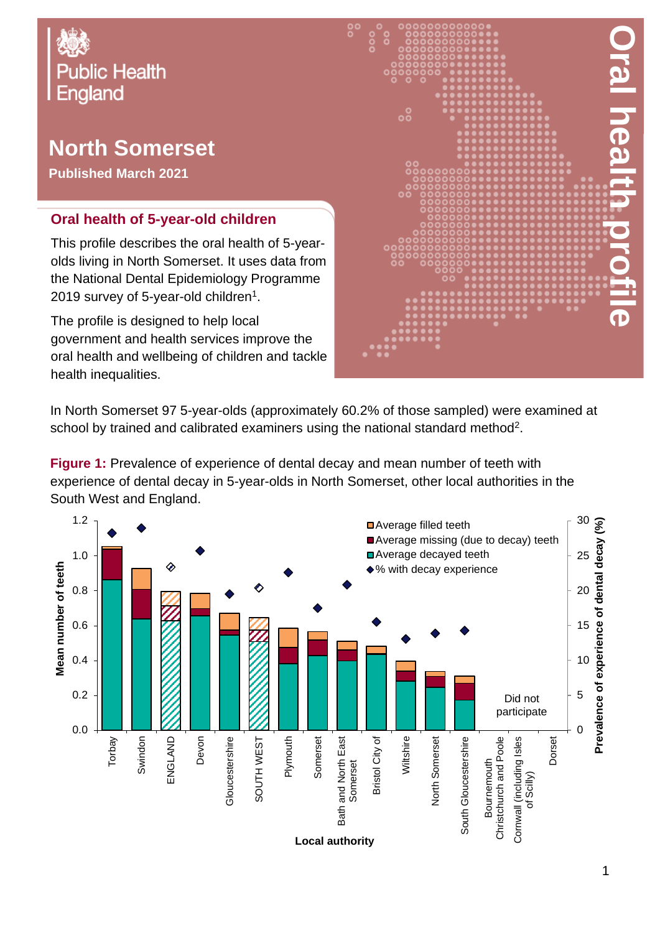

# **North Somerset**

**Published March 2021**

#### **Oral health of 5-year-old children**

This profile describes the oral health of 5-yearolds living in North Somerset. It uses data from the National Dental Epidemiology Programme 2019 survey of 5-year-old children $^{\rm 1}.$ 

The profile is designed to help local government and health services improve the oral health and wellbeing of children and tackle health inequalities.



In North Somerset 97 5-year-olds (approximately 60.2% of those sampled) were examined at school by trained and calibrated examiners using the national standard method<sup>2</sup>.

**Figure 1:** Prevalence of experience of dental decay and mean number of teeth with experience of dental decay in 5-year-olds in North Somerset, other local authorities in the South West and England.

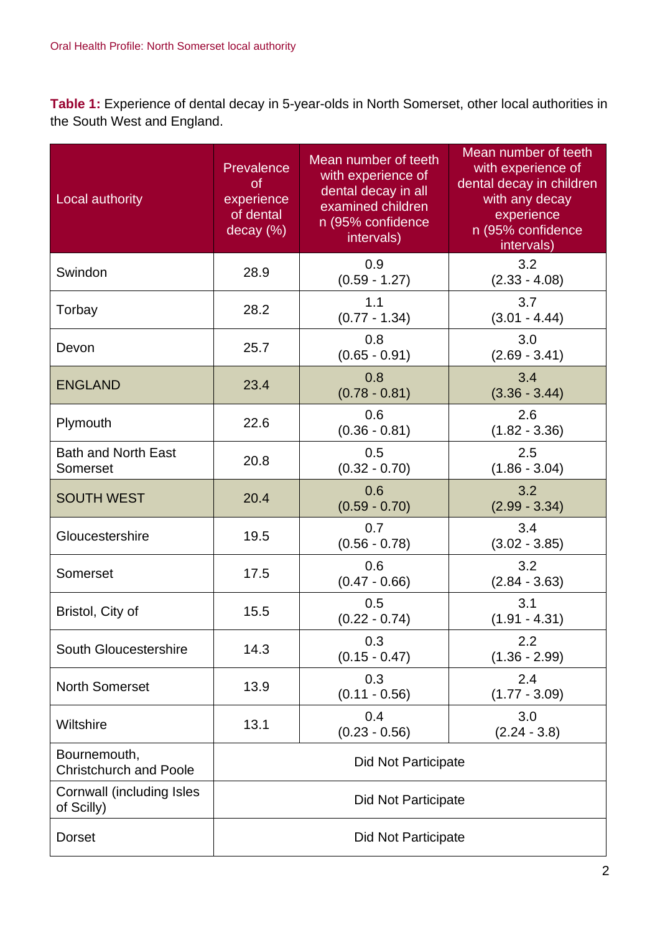**Table 1:** Experience of dental decay in 5-year-olds in North Somerset, other local authorities in the South West and England.

| Local authority                               | Prevalence<br><b>of</b><br>experience<br>of dental<br>decay (%) | Mean number of teeth<br>with experience of<br>dental decay in all<br>examined children<br>n (95% confidence<br>intervals) | Mean number of teeth<br>with experience of<br>dental decay in children<br>with any decay<br>experience<br>n (95% confidence<br>intervals) |  |
|-----------------------------------------------|-----------------------------------------------------------------|---------------------------------------------------------------------------------------------------------------------------|-------------------------------------------------------------------------------------------------------------------------------------------|--|
| Swindon                                       | 28.9                                                            | 0.9<br>$(0.59 - 1.27)$                                                                                                    | 3.2<br>$(2.33 - 4.08)$                                                                                                                    |  |
| Torbay                                        | 28.2                                                            | 1.1<br>$(0.77 - 1.34)$                                                                                                    | 3.7<br>$(3.01 - 4.44)$                                                                                                                    |  |
| Devon                                         | 25.7                                                            | 0.8<br>$(0.65 - 0.91)$                                                                                                    | 3.0<br>$(2.69 - 3.41)$                                                                                                                    |  |
| <b>ENGLAND</b>                                | 23.4                                                            | 0.8<br>$(0.78 - 0.81)$                                                                                                    | 3.4<br>$(3.36 - 3.44)$                                                                                                                    |  |
| Plymouth                                      | 22.6                                                            | 0.6<br>$(0.36 - 0.81)$                                                                                                    | 2.6<br>$(1.82 - 3.36)$                                                                                                                    |  |
| <b>Bath and North East</b><br>Somerset        | 20.8                                                            | 0.5<br>$(0.32 - 0.70)$                                                                                                    | 2.5<br>$(1.86 - 3.04)$                                                                                                                    |  |
| <b>SOUTH WEST</b>                             | 20.4                                                            | 0.6<br>$(0.59 - 0.70)$                                                                                                    | 3.2<br>$(2.99 - 3.34)$                                                                                                                    |  |
| Gloucestershire                               | 19.5                                                            | 0.7<br>$(0.56 - 0.78)$                                                                                                    | 3.4<br>$(3.02 - 3.85)$                                                                                                                    |  |
| Somerset                                      | 17.5                                                            | 0.6<br>$(0.47 - 0.66)$                                                                                                    | 3.2<br>$(2.84 - 3.63)$                                                                                                                    |  |
| Bristol, City of                              | 15.5                                                            | 0.5<br>$(0.22 - 0.74)$                                                                                                    | 3.1<br>$(1.91 - 4.31)$                                                                                                                    |  |
| South Gloucestershire                         | 14.3                                                            | 0.3<br>$(0.15 - 0.47)$                                                                                                    | 2.2<br>$(1.36 - 2.99)$                                                                                                                    |  |
| <b>North Somerset</b>                         | 13.9                                                            | 0.3<br>$(0.11 - 0.56)$                                                                                                    | 2.4<br>$(1.77 - 3.09)$                                                                                                                    |  |
| Wiltshire                                     | 13.1                                                            | 0.4<br>$(0.23 - 0.56)$                                                                                                    | 3.0<br>$(2.24 - 3.8)$                                                                                                                     |  |
| Bournemouth,<br><b>Christchurch and Poole</b> | <b>Did Not Participate</b>                                      |                                                                                                                           |                                                                                                                                           |  |
| Cornwall (including Isles<br>of Scilly)       | Did Not Participate                                             |                                                                                                                           |                                                                                                                                           |  |
| <b>Dorset</b>                                 | Did Not Participate                                             |                                                                                                                           |                                                                                                                                           |  |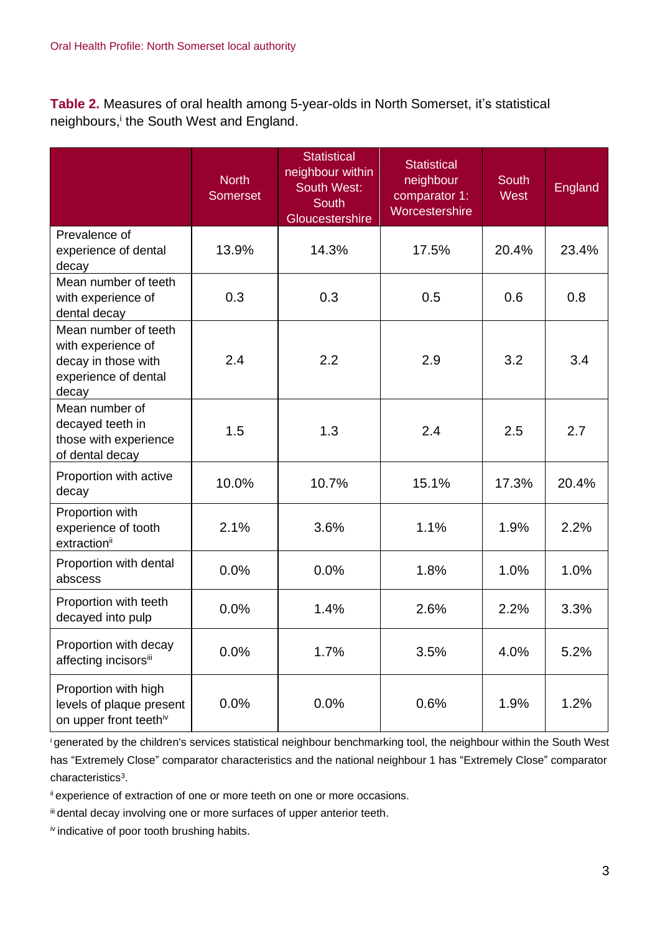**Table 2.** Measures of oral health among 5-year-olds in North Somerset, it's statistical neighbours,<sup>i</sup> the South West and England.

|                                                                                                    | <b>North</b><br><b>Somerset</b> | Statistical<br>neighbour within<br><b>South West:</b><br><b>South</b><br>Gloucestershire | <b>Statistical</b><br>neighbour<br>comparator 1:<br>Worcestershire | <b>South</b><br><b>West</b> | <b>England</b> |
|----------------------------------------------------------------------------------------------------|---------------------------------|------------------------------------------------------------------------------------------|--------------------------------------------------------------------|-----------------------------|----------------|
| Prevalence of<br>experience of dental<br>decay                                                     | 13.9%                           | 14.3%                                                                                    | 17.5%                                                              | 20.4%                       | 23.4%          |
| Mean number of teeth<br>with experience of<br>dental decay                                         | 0.3                             | 0.3                                                                                      | 0.5                                                                | 0.6                         | 0.8            |
| Mean number of teeth<br>with experience of<br>decay in those with<br>experience of dental<br>decay | 2.4                             | 2.2                                                                                      | 2.9                                                                | 3.2                         | 3.4            |
| Mean number of<br>decayed teeth in<br>those with experience<br>of dental decay                     | 1.5                             | 1.3                                                                                      | 2.4                                                                | 2.5                         | 2.7            |
| Proportion with active<br>decay                                                                    | 10.0%                           | 10.7%                                                                                    | 15.1%                                                              | 17.3%                       | 20.4%          |
| Proportion with<br>experience of tooth<br>extraction <sup>ii</sup>                                 | 2.1%                            | 3.6%                                                                                     | 1.1%                                                               | 1.9%                        | 2.2%           |
| Proportion with dental<br>abscess                                                                  | 0.0%                            | 0.0%                                                                                     | 1.8%                                                               | 1.0%                        | 1.0%           |
| Proportion with teeth<br>decayed into pulp                                                         | 0.0%                            | 1.4%                                                                                     | 2.6%                                                               | 2.2%                        | 3.3%           |
| Proportion with decay<br>affecting incisorsii                                                      | 0.0%                            | 1.7%                                                                                     | 3.5%                                                               | 4.0%                        | 5.2%           |
| Proportion with high<br>levels of plaque present<br>on upper front teethiv                         | 0.0%                            | 0.0%                                                                                     | 0.6%                                                               | 1.9%                        | 1.2%           |

<sup>i</sup>generated by the children's services statistical neighbour benchmarking tool, the neighbour within the South West has "Extremely Close" comparator characteristics and the national neighbour 1 has "Extremely Close" comparator characteristics<sup>3</sup>.

ii experience of extraction of one or more teeth on one or more occasions.

iii dental decay involving one or more surfaces of upper anterior teeth.

iv indicative of poor tooth brushing habits.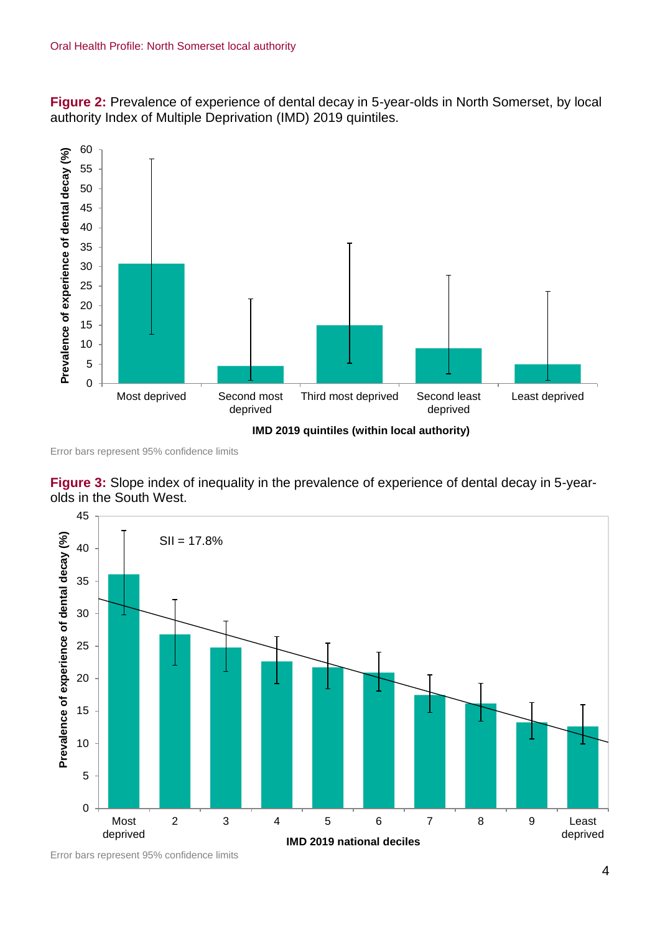**Figure 2:** Prevalence of experience of dental decay in 5-year-olds in North Somerset, by local authority Index of Multiple Deprivation (IMD) 2019 quintiles.



Error bars represent 95% confidence limits

**Figure 3:** Slope index of inequality in the prevalence of experience of dental decay in 5-yearolds in the South West.



Error bars represent 95% confidence limits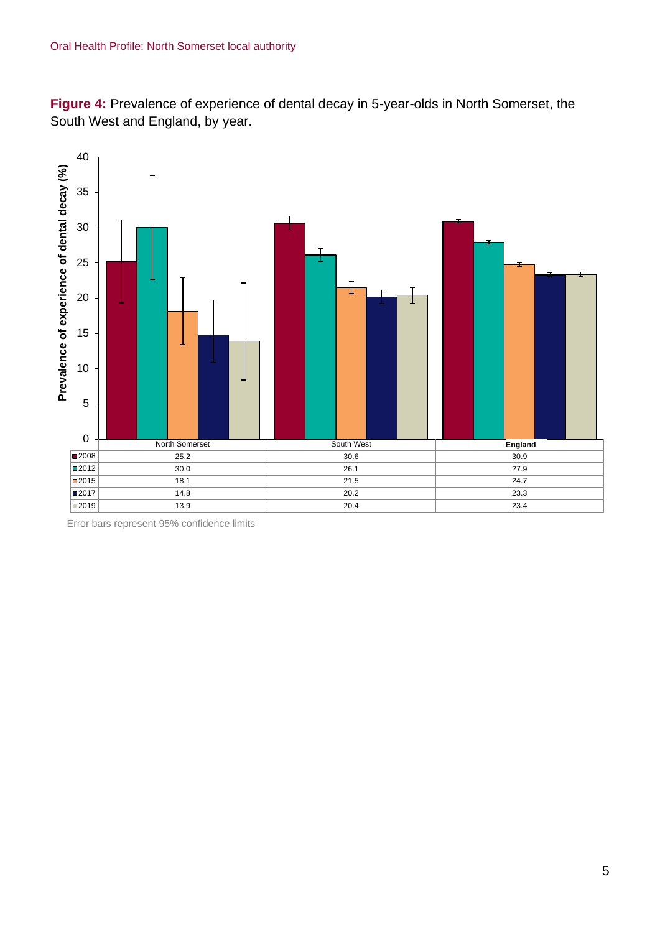**Figure 4:** Prevalence of experience of dental decay in 5-year-olds in North Somerset, the South West and England, by year.



Error bars represent 95% confidence limits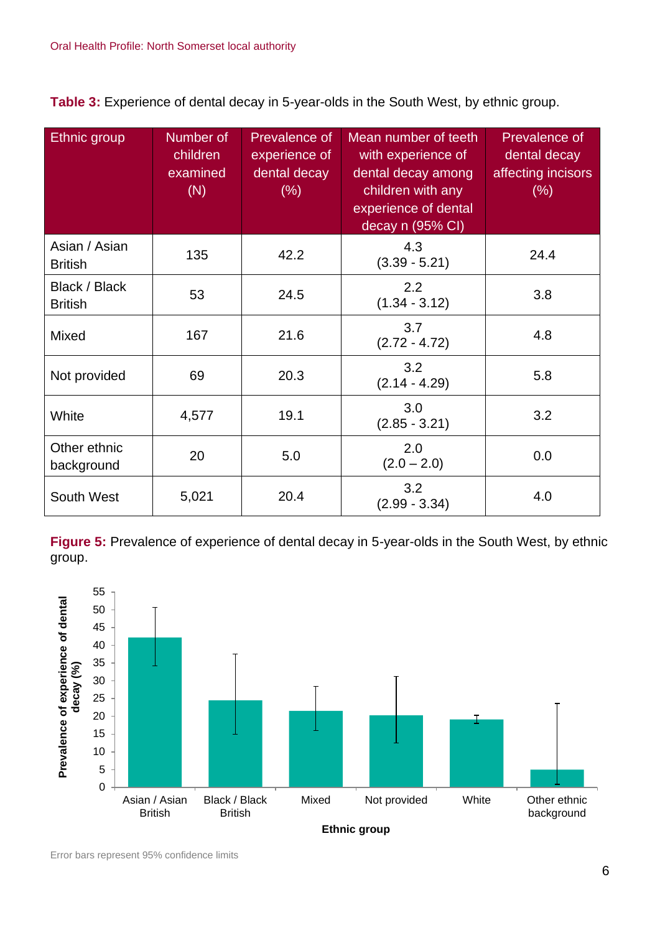**Table 3:** Experience of dental decay in 5-year-olds in the South West, by ethnic group.

| Ethnic group                    | Number of<br>children<br>examined<br>(N) | <b>Prevalence of</b><br>experience of<br>dental decay<br>(% ) | Mean number of teeth<br>with experience of<br>dental decay among<br>children with any<br>experience of dental<br>decay n (95% CI) | Prevalence of<br>dental decay<br>affecting incisors<br>(% ) |
|---------------------------------|------------------------------------------|---------------------------------------------------------------|-----------------------------------------------------------------------------------------------------------------------------------|-------------------------------------------------------------|
| Asian / Asian<br><b>British</b> | 135                                      | 42.2                                                          | 4.3<br>$(3.39 - 5.21)$                                                                                                            | 24.4                                                        |
| Black / Black<br><b>British</b> | 53                                       | 24.5                                                          | 2.2<br>$(1.34 - 3.12)$                                                                                                            | 3.8                                                         |
| Mixed                           | 167                                      | 21.6                                                          | 3.7<br>$(2.72 - 4.72)$                                                                                                            | 4.8                                                         |
| Not provided                    | 69                                       | 20.3                                                          | 3.2<br>$(2.14 - 4.29)$                                                                                                            | 5.8                                                         |
| White                           | 4,577                                    | 19.1                                                          | 3.0<br>$(2.85 - 3.21)$                                                                                                            | 3.2                                                         |
| Other ethnic<br>background      | 20                                       | 5.0                                                           | 2.0<br>$(2.0 - 2.0)$                                                                                                              | 0.0                                                         |
| South West                      | 5,021                                    | 20.4                                                          | 3.2<br>$(2.99 - 3.34)$                                                                                                            | 4.0                                                         |

**Figure 5:** Prevalence of experience of dental decay in 5-year-olds in the South West, by ethnic group.



Error bars represent 95% confidence limits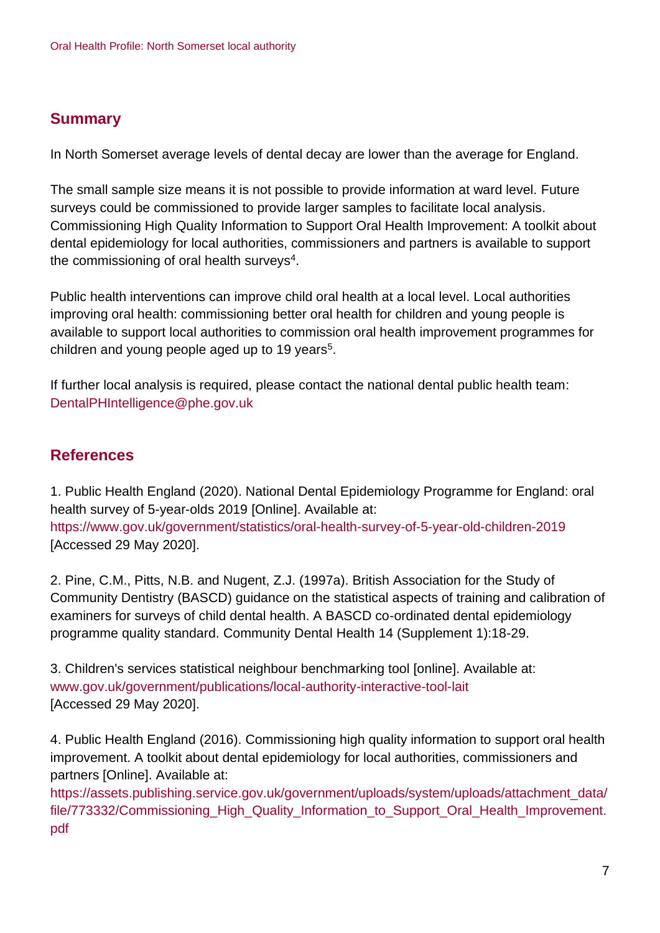## **Summary**

In North Somerset average levels of dental decay are lower than the average for England.

The small sample size means it is not possible to provide information at ward level. Future surveys could be commissioned to provide larger samples to facilitate local analysis. Commissioning High Quality Information to Support Oral Health Improvement: A toolkit about dental epidemiology for local authorities, commissioners and partners is available to support the commissioning of oral health surveys $4$ .

Public health interventions can improve child oral health at a local level. Local authorities improving oral health: commissioning better oral health for children and young people is available to support local authorities to commission oral health improvement programmes for children and young people aged up to 19 years<sup>5</sup>.

If further local analysis is required, please contact the national dental public health team: DentalPHIntelligence@phe.gov.uk

### **References**

1. Public Health England (2020). National Dental Epidemiology Programme for England: oral health survey of 5-year-olds 2019 [Online]. Available at: <https://www.gov.uk/government/statistics/oral-health-survey-of-5-year-old-children-2019> [Accessed 29 May 2020].

2. Pine, C.M., Pitts, N.B. and Nugent, Z.J. (1997a). British Association for the Study of Community Dentistry (BASCD) guidance on the statistical aspects of training and calibration of examiners for surveys of child dental health. A BASCD co-ordinated dental epidemiology programme quality standard. Community Dental Health 14 (Supplement 1):18-29.

3. Children's services statistical neighbour benchmarking tool [online]. Available at: [www.gov.uk/government/publications/local-authority-interactive-tool-lait](http://www.gov.uk/government/publications/local-authority-interactive-tool-lait) [Accessed 29 May 2020].

4. Public Health England (2016). Commissioning high quality information to support oral health improvement. A toolkit about dental epidemiology for local authorities, commissioners and partners [Online]. Available at:

[https://assets.publishing.service.gov.uk/government/uploads/system/uploads/attachment\\_data/](https://assets.publishing.service.gov.uk/government/uploads/system/uploads/attachment_data/file/773332/Commissioning_High_Quality_Information_to_Support_Oral_Health_Improvement.pdf) file/773332/Commissioning High Quality Information to Support Oral Health Improvement. [pdf](https://assets.publishing.service.gov.uk/government/uploads/system/uploads/attachment_data/file/773332/Commissioning_High_Quality_Information_to_Support_Oral_Health_Improvement.pdf)